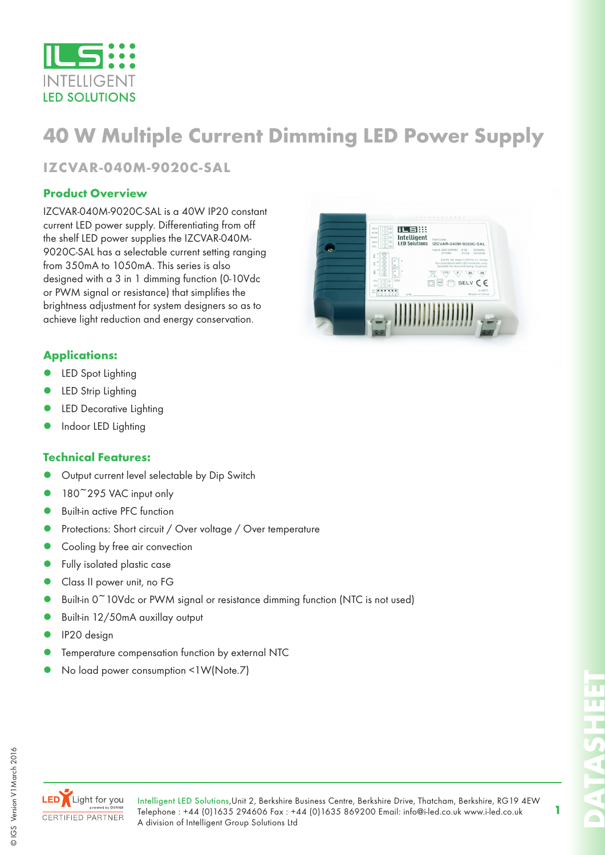

# **40 W Multiple Current Dimming LED Power Supply**

# **IZCVAR-040M-9020C-SAL**

### **Product Overview**

IZCVAR-040M-9020C-SAL is a 40W IP20 constant current LED power supply. Differentiating from off the shelf LED power supplies the IZCVAR-040M-9020C-SAL has a selectable current setting ranging from 350mA to 1050mA. This series is also designed with a 3 in 1 dimming function (0-10Vdc or PWM signal or resistance) that simplifies the brightness adjustment for system designers so as to achieve light reduction and energy conservation.



### **Applications:**

- LED Spot Lighting
- LED Strip Lighting
- LED Decorative Lighting
- Indoor LED Lighting

#### **Technical Features:**

- Output current level selectable by Dip Switch
- 180<sup>~</sup>295 VAC input only
- Built-in active PFC function
- Protections: Short circuit / Over voltage / Over temperature
- Cooling by free air convection
- Fully isolated plastic case
- Class II power unit, no FG
- Built-in 0<sup>~</sup>10Vdc or PWM signal or resistance dimming function (NTC is not used)
- Built-in 12/50mA auxillay output
- IP20 design
- Temperature compensation function by external NTC
- No load power consumption <1W(Note.7)



**DATASHEET**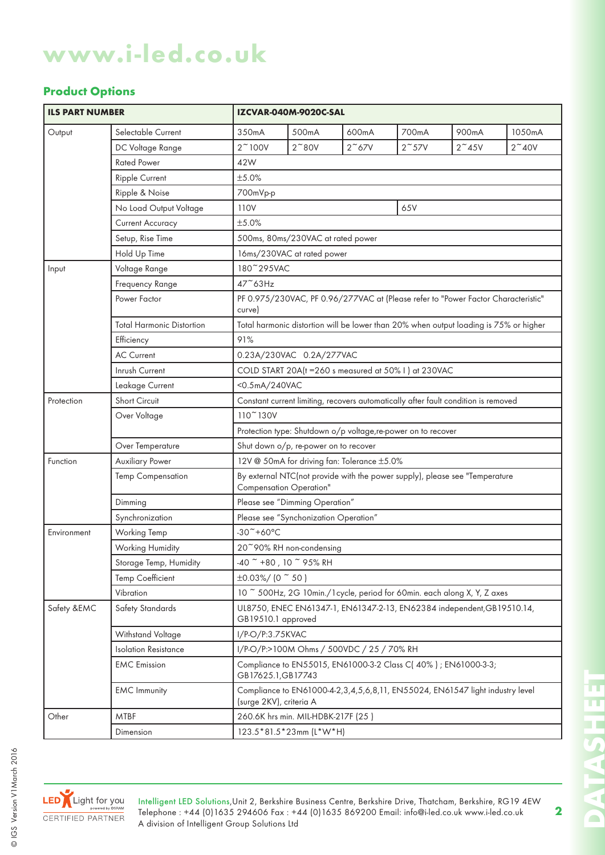# **Product Options**

| <b>ILS PART NUMBER</b> |                                                                                                     |                                                                                                               | IZCVAR-040M-9020C-SAL                                                                        |               |               |                |               |  |  |  |  |  |  |
|------------------------|-----------------------------------------------------------------------------------------------------|---------------------------------------------------------------------------------------------------------------|----------------------------------------------------------------------------------------------|---------------|---------------|----------------|---------------|--|--|--|--|--|--|
| Output                 | Selectable Current                                                                                  | 350mA                                                                                                         | 500mA                                                                                        | 600mA         | 700mA         | 900mA          | 1050mA        |  |  |  |  |  |  |
|                        | DC Voltage Range                                                                                    | $2^{\sim}100V$                                                                                                | $2^{\sim}80V$                                                                                | $2^{\sim}67V$ | $2^{\sim}57V$ | $2^{\sim}$ 45V | $2^{\sim}40V$ |  |  |  |  |  |  |
|                        | <b>Rated Power</b>                                                                                  | 42W                                                                                                           |                                                                                              |               |               |                |               |  |  |  |  |  |  |
|                        | Ripple Current                                                                                      | ±5.0%                                                                                                         |                                                                                              |               |               |                |               |  |  |  |  |  |  |
|                        | Ripple & Noise                                                                                      | 700mVp-p                                                                                                      |                                                                                              |               |               |                |               |  |  |  |  |  |  |
|                        | No Load Output Voltage                                                                              | 110V<br>65V                                                                                                   |                                                                                              |               |               |                |               |  |  |  |  |  |  |
|                        | <b>Current Accuracy</b>                                                                             | ±5.0%                                                                                                         |                                                                                              |               |               |                |               |  |  |  |  |  |  |
|                        | Setup, Rise Time                                                                                    |                                                                                                               | 500ms, 80ms/230VAC at rated power                                                            |               |               |                |               |  |  |  |  |  |  |
|                        | Hold Up Time<br>16ms/230VAC at rated power                                                          |                                                                                                               |                                                                                              |               |               |                |               |  |  |  |  |  |  |
| Input                  | 180~295VAC<br>Voltage Range                                                                         |                                                                                                               |                                                                                              |               |               |                |               |  |  |  |  |  |  |
|                        | Frequency Range                                                                                     | 47~63Hz                                                                                                       |                                                                                              |               |               |                |               |  |  |  |  |  |  |
|                        | Power Factor                                                                                        | PF 0.975/230VAC, PF 0.96/277VAC at (Please refer to "Power Factor Characteristic"<br>curve)                   |                                                                                              |               |               |                |               |  |  |  |  |  |  |
|                        | <b>Total Harmonic Distortion</b>                                                                    | Total harmonic distortion will be lower than 20% when output loading is 75% or higher                         |                                                                                              |               |               |                |               |  |  |  |  |  |  |
|                        | Efficiency<br>91%                                                                                   |                                                                                                               |                                                                                              |               |               |                |               |  |  |  |  |  |  |
|                        | <b>AC Current</b>                                                                                   |                                                                                                               | 0.23A/230VAC 0.2A/277VAC                                                                     |               |               |                |               |  |  |  |  |  |  |
|                        | Inrush Current<br>COLD START 20A(t = 260 s measured at 50% I) at 230VAC                             |                                                                                                               |                                                                                              |               |               |                |               |  |  |  |  |  |  |
|                        | <0.5mA/240VAC<br>Leakage Current                                                                    |                                                                                                               |                                                                                              |               |               |                |               |  |  |  |  |  |  |
| Protection             | Short Circuit<br>Constant current limiting, recovers automatically after fault condition is removed |                                                                                                               |                                                                                              |               |               |                |               |  |  |  |  |  |  |
|                        | Over Voltage                                                                                        | 110~130V                                                                                                      |                                                                                              |               |               |                |               |  |  |  |  |  |  |
|                        |                                                                                                     |                                                                                                               | Protection type: Shutdown o/p voltage, re-power on to recover                                |               |               |                |               |  |  |  |  |  |  |
|                        | Over Temperature                                                                                    | Shut down o/p, re-power on to recover                                                                         |                                                                                              |               |               |                |               |  |  |  |  |  |  |
| Function               | Auxiliary Power                                                                                     | 12V @ 50mA for driving fan: Tolerance ±5.0%                                                                   |                                                                                              |               |               |                |               |  |  |  |  |  |  |
|                        | <b>Temp Compensation</b>                                                                            | By external NTC(not provide with the power supply), please see "Temperature<br><b>Compensation Operation"</b> |                                                                                              |               |               |                |               |  |  |  |  |  |  |
|                        | Dimming                                                                                             | Please see "Dimming Operation"                                                                                |                                                                                              |               |               |                |               |  |  |  |  |  |  |
|                        | Synchronization                                                                                     | Please see "Synchonization Operation"                                                                         |                                                                                              |               |               |                |               |  |  |  |  |  |  |
| Environment            | <b>Working Temp</b>                                                                                 | $-30$ $+60$ °C                                                                                                |                                                                                              |               |               |                |               |  |  |  |  |  |  |
|                        | Working Humidity                                                                                    | 20~90% RH non-condensing                                                                                      |                                                                                              |               |               |                |               |  |  |  |  |  |  |
|                        | Storage Temp, Humidity                                                                              | $-40$ $\degree$ +80, 10 $\degree$ 95% RH                                                                      |                                                                                              |               |               |                |               |  |  |  |  |  |  |
|                        | <b>Temp Coefficient</b>                                                                             | $\pm 0.03\%/$ (0 $\degree$ 50)                                                                                |                                                                                              |               |               |                |               |  |  |  |  |  |  |
|                        | Vibration                                                                                           | 10 ~ 500Hz, 2G 10min./1 cycle, period for 60min. each along X, Y, Z axes                                      |                                                                                              |               |               |                |               |  |  |  |  |  |  |
| Safety &EMC            | Safety Standards                                                                                    |                                                                                                               | UL8750, ENEC EN61347-1, EN61347-2-13, EN62384 independent, GB19510.14,<br>GB19510.1 approved |               |               |                |               |  |  |  |  |  |  |
|                        | Withstand Voltage                                                                                   | I/P-O/P:3.75KVAC                                                                                              |                                                                                              |               |               |                |               |  |  |  |  |  |  |
|                        | <b>Isolation Resistance</b>                                                                         | I/P-O/P:>100M Ohms / 500VDC / 25 / 70% RH                                                                     |                                                                                              |               |               |                |               |  |  |  |  |  |  |
|                        | <b>EMC</b> Emission                                                                                 | Compliance to EN55015, EN61000-3-2 Class C(40%); EN61000-3-3;<br>GB17625.1, GB17743                           |                                                                                              |               |               |                |               |  |  |  |  |  |  |
|                        | <b>EMC</b> Immunity                                                                                 | Compliance to EN61000-4-2,3,4,5,6,8,11, EN55024, EN61547 light industry level<br>(surge 2KV), criteria A      |                                                                                              |               |               |                |               |  |  |  |  |  |  |
| Other                  | <b>MTBF</b>                                                                                         |                                                                                                               | 260.6K hrs min. MIL-HDBK-217F (25)                                                           |               |               |                |               |  |  |  |  |  |  |
|                        | Dimension                                                                                           |                                                                                                               | 123.5 * 81.5 * 23mm (L*W*H)                                                                  |               |               |                |               |  |  |  |  |  |  |



**DATASHEET** 'n. H SANTAL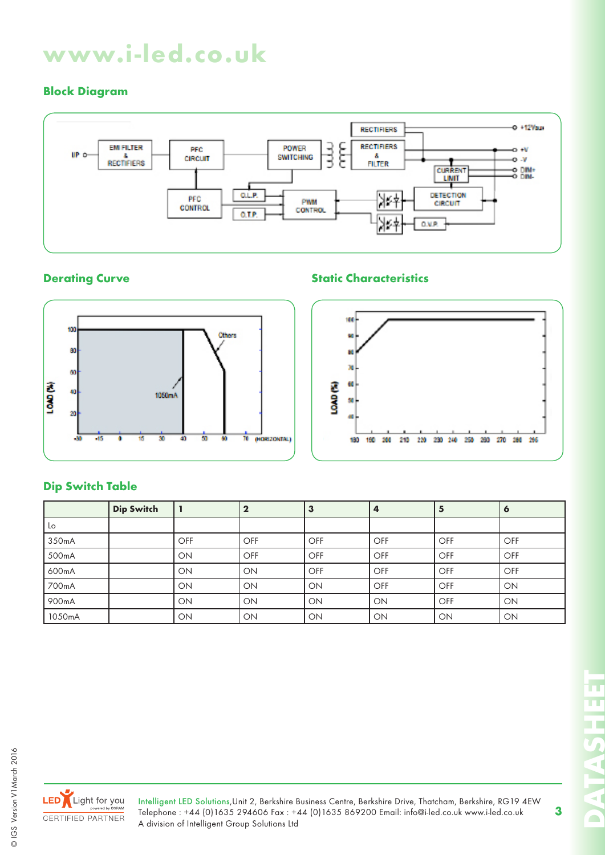# **Block Diagram**



## **Derating Curve Curve Static Characteristics**





# **Dip Switch Table**

|        | <b>Dip Switch</b> |     |            | З   | 4         |     | $\bullet$ |
|--------|-------------------|-----|------------|-----|-----------|-----|-----------|
| Lo     |                   |     |            |     |           |     |           |
| 350mA  |                   | OFF | <b>OFF</b> | OFF | l OFF     | OFF | OFF       |
| 500mA  |                   | ON  | OFF        | OFF | l OFF     | OFF | OFF       |
| 600mA  |                   | ON  | ON         | OFF | l OFF     | OFF | OFF       |
| 700mA  |                   | ON  | ON         | ON  | l OFF     | OFF | ON        |
| 900mA  |                   | ON  | ON         | ON  | ON        | OFF | ON        |
| 1050mA |                   | ON  | ON         | ON  | <b>ON</b> | ON  | ON        |



Intelligent LED Solutions,Unit 2, Berkshire Business Centre, Berkshire Drive, Thatcham, Berkshire, RG19 4EW Telephone : +44 (0)1635 294606 Fax : +44 (0)1635 869200 Email: info@i-led.co.uk www.i-led.co.uk A division of Intelligent Group Solutions Ltd

**DATASHEET** CALLADO  $\Box$ 

π π

T.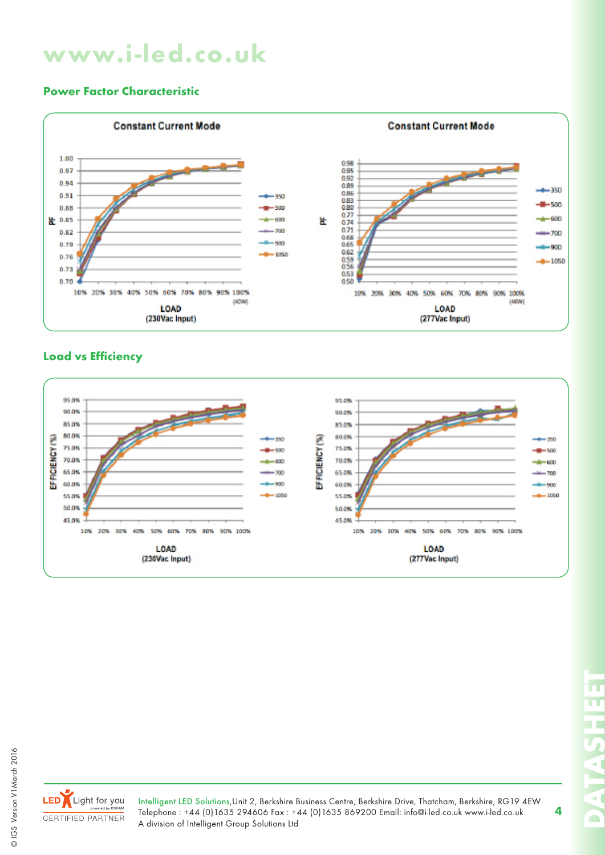### **Power Factor Characteristic**



### **Load vs Efficiency**





Intelligent LED Solutions,Unit 2, Berkshire Business Centre, Berkshire Drive, Thatcham, Berkshire, RG19 4EW Telephone : +44 (0)1635 294606 Fax : +44 (0)1635 869200 Email: info@i-led.co.uk www.i-led.co.uk A division of Intelligent Group Solutions Ltd

**DATASHEET** m  $\lhd$   $\lceil$ 

 $\blacksquare$ 

п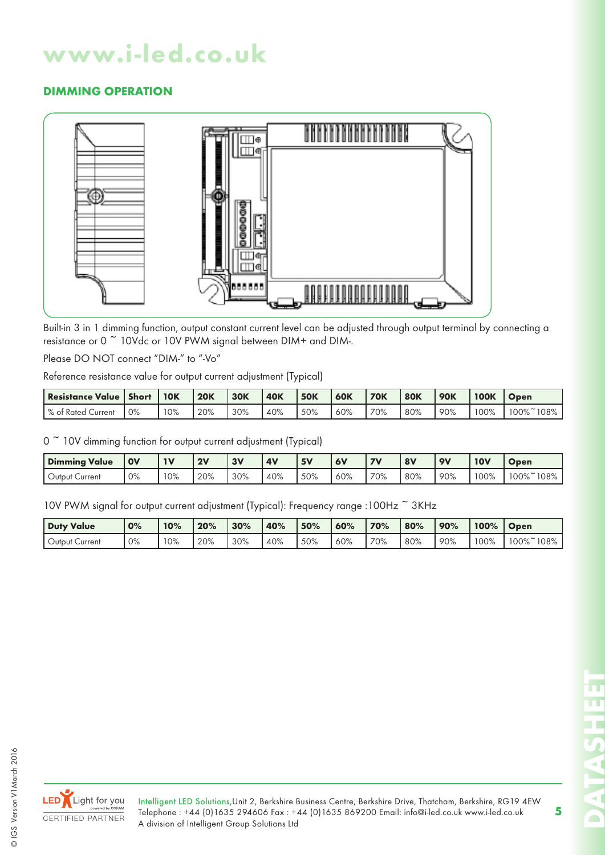# **DIMMING OPERATION**



Built-in 3 in 1 dimming function, output constant current level can be adjusted through output terminal by connecting a resistance or 0 ~ 10Vdc or 10V PWM signal between DIM+ and DIM-.

Please DO NOT connect "DIM-" to "-Vo"

Reference resistance value for output current adjustment (Typical)

| <b>Resistance Value   Short</b> |       | <b>10K</b> | <b>20K</b> | <b>30K</b> | <b>40K</b> | <b>50K</b> | <b>60K</b> | <b>70K</b> | <b>80K</b> | <b>90K</b> | <b>100K</b> | <b>Open</b> |
|---------------------------------|-------|------------|------------|------------|------------|------------|------------|------------|------------|------------|-------------|-------------|
| l % of Rated Current            | $0\%$ | 10%        | 20%        | 30%        | 40%        | 50%        | 60%        | 70%        | 80%        | 90%        | 100%        | 00%<br>108% |

0<sup>~</sup> 10V dimming function for output current adjustment (Typical)

| <b>Dimming Value</b>      | <b>OV</b> | 1 <sub>1</sub> | 2V  | 3V  | <b>4V</b> | 5V  | <b>6V</b> | $\overline{\phantom{a}}$ | 8V  | <b>OV</b> | <b>10V</b> | Open      |
|---------------------------|-----------|----------------|-----|-----|-----------|-----|-----------|--------------------------|-----|-----------|------------|-----------|
| ∪rrent<br>∪utput <b>′</b> | 0%        | 10%            | 20% | 30% | 40%       | 50% | 60%       | 70%                      | 80% | 90%       | 100%       | 100%~108% |

10V PWM signal for output current adjustment (Typical): Frequency range :100Hz ~ 3KHz

| Duty Value          | 0% | 10% | 20% | 30% | 40% | 50% | 60% | 70% | 80% | 90% | 100% | <b>Open</b>    |
|---------------------|----|-----|-----|-----|-----|-----|-----|-----|-----|-----|------|----------------|
| Output \<br>Current | 0% | 10% | 20% | 30% | 40% | 50% | 60% | 70% | 80% | 90% | 00%  | $00\%$<br>108% |



© IGS Version V1March 2016

© IGS Version V1 March 2016